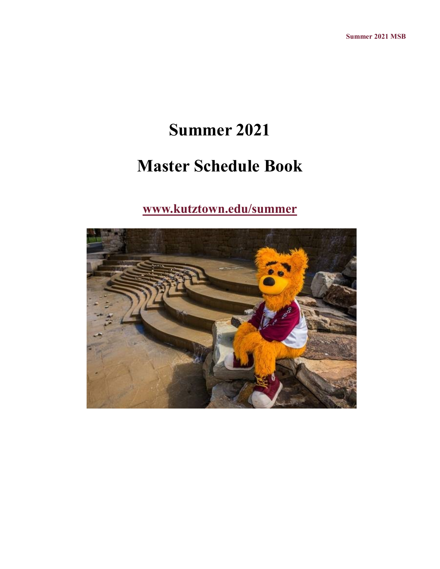# **Summer 2021**

# **Master Schedule Book**

## **[www.kutztown.edu/summer](file:///C:/Users/walton/Documents/Baby)**

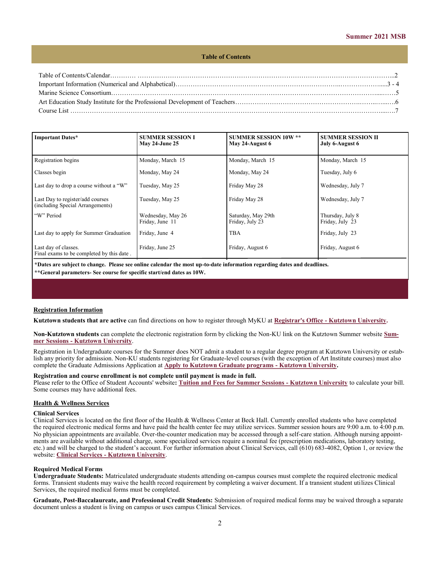#### **Table of Contents**

| <b>Important Dates*</b>                                              | <b>SUMMER SESSION I</b><br>May 24-June 25 | <b>SUMMER SESSION 10W **</b><br>May 24-August 6 | <b>SUMMER SESSION II</b><br>July 6-August 6 |
|----------------------------------------------------------------------|-------------------------------------------|-------------------------------------------------|---------------------------------------------|
| Registration begins                                                  | Monday, March 15                          | Monday, March 15                                | Monday, March 15                            |
| Classes begin                                                        | Monday, May 24                            | Monday, May 24                                  | Tuesday, July 6                             |
| Last day to drop a course without a "W"                              | Tuesday, May 25                           | Friday May 28                                   | Wednesday, July 7                           |
| Last Day to register/add courses<br>(including Special Arrangements) | Tuesday, May 25                           | Friday May 28                                   | Wednesday, July 7                           |
| "W" Period                                                           | Wednesday, May 26<br>Friday, June 11      | Saturday, May 29th<br>Friday, July 23           | Thursday, July 8<br>Friday, July 23         |
| Last day to apply for Summer Graduation                              | Friday, June 4                            | <b>TBA</b>                                      | Friday, July 23                             |
| Last day of classes.<br>Final exams to be completed by this date.    | Friday, June 25                           | Friday, August 6                                | Friday, August 6                            |

**\*Dates are subject to change. Please see online calendar the most up-to-date information regarding dates and deadlines. \*\*General parameters- See course for specific start/end dates as 10W.**

#### **Registration Information**

**Kutztown students that are active** can find directions on how to register through MyKU at **Registrar's Office - [Kutztown University.](https://www.kutztown.edu/about-ku/administrative-offices/registrar.html)** 

**[N](https://www.kutztown.edu/about-ku/administrative-offices/information-technology/myku-information/students.htm)on-Kutztown students** can complete the electronic registration form by clicking the Non-KU link on the Kutztown Summer website **[Sum](https://www.kutztown.edu/academics/summer-and-winter-education/summer-sessions.html)mer Sessions - [Kutztown University](https://www.kutztown.edu/academics/summer-and-winter-education/summer-sessions.html)**.

Registration in Undergraduate courses for the Summer does NOT admit a student to a regular degree program at Kutztown University or establish any priority for admission. Non-KU students registering for Graduate-level courses (with the exception of Art Institute courses) must also complete the Graduate Admissions Application at **[Apply to Kutztown Graduate programs](https://www.kutztown.edu/admissions/apply/graduate-admissions/apply.html) - Kutztown University.**

## **Registration and course enrollment is not complete until payment is made in full.**

Please refer to the Office of Student Accounts' website**: [Tuition and Fees for Summer Sessions](https://www.kutztown.edu/affordability/tuition-and-fees-(summer).html) - Kutztown University** to calculate your bill. Some courses may have additional fees.

#### **Health & Wellness Services**

#### **Clinical Services**

Clinical Services is located on the first floor of the Health & Wellness Center at Beck Hall. Currently enrolled students who have completed the required electronic medical forms and have paid the health center fee may utilize services. Summer session hours are 9:00 a.m. to 4:00 p.m. No physician appointments are available. Over-the-counter medication may be accessed through a self-care station. Although nursing appointments are available without additional charge, some specialized services require a nominal fee (prescription medications, laboratory testing, etc.) and will be charged to the student's account. For further information about Clinical Services, call (610) 683-4082, Option 1, or review the website: **Clinical Services - [Kutztown University](https://www.kutztown.edu/about-ku/administrative-offices/health-and-wellness-services/clinical-services.html)**.

#### **Required Medical Forms**

**Undergraduate Students:** Matriculated undergraduate students attending on-campus courses must complete the required electronic medical forms. Transient students may waive the health record requirement by completing a waiver document. If a transient student utilizes Clinical Services, the required medical forms must be completed.

**Graduate, Post-Baccalaureate, and Professional Credit Students:** Submission of required medical forms may be waived through a separate document unless a student is living on campus or uses campus Clinical Services.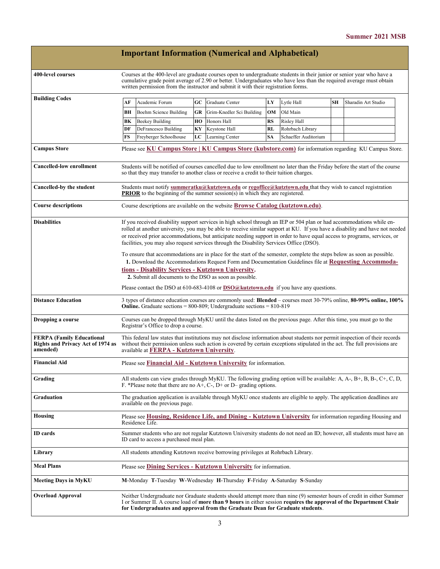|                                                                                          |                                                                                                                                                                                                                                                                                                                                                                                                                                                                              |                                          |    | <b>Important Information (Numerical and Alphabetical)</b>                                                                                                                                            |           |                      |           |                                                                                                                        |
|------------------------------------------------------------------------------------------|------------------------------------------------------------------------------------------------------------------------------------------------------------------------------------------------------------------------------------------------------------------------------------------------------------------------------------------------------------------------------------------------------------------------------------------------------------------------------|------------------------------------------|----|------------------------------------------------------------------------------------------------------------------------------------------------------------------------------------------------------|-----------|----------------------|-----------|------------------------------------------------------------------------------------------------------------------------|
| 400-level courses                                                                        | Courses at the 400-level are graduate courses open to undergraduate students in their junior or senior year who have a<br>cumulative grade point average of 2.90 or better. Undergraduates who have less than the required average must obtain<br>written permission from the instructor and submit it with their registration forms.                                                                                                                                        |                                          |    |                                                                                                                                                                                                      |           |                      |           |                                                                                                                        |
| <b>Building Codes</b>                                                                    | АF                                                                                                                                                                                                                                                                                                                                                                                                                                                                           | Academic Forum                           | GC | Graduate Center                                                                                                                                                                                      | LY        | Lytle Hall           | <b>SH</b> | Sharadin Art Studio                                                                                                    |
|                                                                                          | BН                                                                                                                                                                                                                                                                                                                                                                                                                                                                           | <b>Boehm Science Building</b>            | GR | Grim-Knedler Sci Building                                                                                                                                                                            | OM        | Old Main             |           |                                                                                                                        |
|                                                                                          | BК                                                                                                                                                                                                                                                                                                                                                                                                                                                                           | Beekey Building                          | HO | Honors Hall                                                                                                                                                                                          | <b>RS</b> | Risley Hall          |           |                                                                                                                        |
|                                                                                          | DF                                                                                                                                                                                                                                                                                                                                                                                                                                                                           | DeFrancesco Building                     | KY | Keystone Hall                                                                                                                                                                                        | RL        | Rohrbach Library     |           |                                                                                                                        |
|                                                                                          | FS                                                                                                                                                                                                                                                                                                                                                                                                                                                                           | Freyberger Schoolhouse                   | LC | Learning Center                                                                                                                                                                                      | <b>SA</b> | Schaeffer Auditorium |           |                                                                                                                        |
| <b>Campus Store</b>                                                                      | Please see KU Campus Store   KU Campus Store (kubstore.com) for information regarding KU Campus Store.                                                                                                                                                                                                                                                                                                                                                                       |                                          |    |                                                                                                                                                                                                      |           |                      |           |                                                                                                                        |
| <b>Cancelled-low enrollment</b>                                                          | Students will be notified of courses cancelled due to low enrollment no later than the Friday before the start of the course<br>so that they may transfer to another class or receive a credit to their tuition charges.                                                                                                                                                                                                                                                     |                                          |    |                                                                                                                                                                                                      |           |                      |           |                                                                                                                        |
| Cancelled-by the student                                                                 |                                                                                                                                                                                                                                                                                                                                                                                                                                                                              |                                          |    | Students must notify summeratku@kutztown.edu or regoffice@kutztown.edu that they wish to cancel registration<br><b>PRIOR</b> to the beginning of the summer session(s) in which they are registered. |           |                      |           |                                                                                                                        |
| <b>Course descriptions</b>                                                               |                                                                                                                                                                                                                                                                                                                                                                                                                                                                              |                                          |    | Course descriptions are available on the website <b>Browse Catalog (kutztown.edu)</b> .                                                                                                              |           |                      |           |                                                                                                                        |
| <b>Disabilities</b>                                                                      | If you received disability support services in high school through an IEP or 504 plan or had accommodations while en-<br>rolled at another university, you may be able to receive similar support at KU. If you have a disability and have not needed<br>or received prior accommodations, but anticipate needing support in order to have equal access to programs, services, or<br>facilities, you may also request services through the Disability Services Office (DSO). |                                          |    |                                                                                                                                                                                                      |           |                      |           |                                                                                                                        |
|                                                                                          | To ensure that accommodations are in place for the start of the semester, complete the steps below as soon as possible.<br>1. Download the Accommodations Request Form and Documentation Guidelines file at Requesting Accommoda-<br>tions - Disability Services - Kutztown University.                                                                                                                                                                                      |                                          |    |                                                                                                                                                                                                      |           |                      |           |                                                                                                                        |
|                                                                                          | 2. Submit all documents to the DSO as soon as possible.                                                                                                                                                                                                                                                                                                                                                                                                                      |                                          |    |                                                                                                                                                                                                      |           |                      |           |                                                                                                                        |
|                                                                                          | Please contact the DSO at 610-683-4108 or DSO@kutztown.edu if you have any questions.                                                                                                                                                                                                                                                                                                                                                                                        |                                          |    |                                                                                                                                                                                                      |           |                      |           |                                                                                                                        |
| <b>Distance Education</b>                                                                | 3 types of distance education courses are commonly used: Blended – courses meet 30-79% online, 80-99% online, 100%<br><b>Online.</b> Graduate sections = $800-809$ ; Undergraduate sections = $810-819$                                                                                                                                                                                                                                                                      |                                          |    |                                                                                                                                                                                                      |           |                      |           |                                                                                                                        |
| Dropping a course                                                                        | Courses can be dropped through MyKU until the dates listed on the previous page. After this time, you must go to the<br>Registrar's Office to drop a course.                                                                                                                                                                                                                                                                                                                 |                                          |    |                                                                                                                                                                                                      |           |                      |           |                                                                                                                        |
| <b>FERPA (Family Educational</b><br><b>Rights and Privacy Act of 1974 as</b><br>amended) | This federal law states that institutions may not disclose information about students nor permit inspection of their records<br>without their permission unless such action is covered by certain exceptions stipulated in the act. The full provisions are<br>available at FERPA - Kutztown University.                                                                                                                                                                     |                                          |    |                                                                                                                                                                                                      |           |                      |           |                                                                                                                        |
| <b>Financial Aid</b>                                                                     |                                                                                                                                                                                                                                                                                                                                                                                                                                                                              |                                          |    | Please see <b>Financial Aid - Kutztown University</b> for information.                                                                                                                               |           |                      |           |                                                                                                                        |
| Grading                                                                                  | All students can view grades through MyKU. The following grading option will be available: A, A-, B+, B, B-, C+, C, D,<br>F. *Please note that there are no $A+$ , C-, D+ or D– grading options.                                                                                                                                                                                                                                                                             |                                          |    |                                                                                                                                                                                                      |           |                      |           |                                                                                                                        |
| Graduation                                                                               |                                                                                                                                                                                                                                                                                                                                                                                                                                                                              | available on the previous page.          |    | The graduation application is available through MyKU once students are eligible to apply. The application deadlines are                                                                              |           |                      |           |                                                                                                                        |
| Housing                                                                                  |                                                                                                                                                                                                                                                                                                                                                                                                                                                                              | Residence Life.                          |    | Please see Housing, Residence Life, and Dining - Kutztown University for information regarding Housing and                                                                                           |           |                      |           |                                                                                                                        |
| ID cards                                                                                 |                                                                                                                                                                                                                                                                                                                                                                                                                                                                              | ID card to access a purchased meal plan. |    |                                                                                                                                                                                                      |           |                      |           | Summer students who are not regular Kutztown University students do not need an ID; however, all students must have an |
| Library                                                                                  |                                                                                                                                                                                                                                                                                                                                                                                                                                                                              |                                          |    | All students attending Kutztown receive borrowing privileges at Rohrbach Library.                                                                                                                    |           |                      |           |                                                                                                                        |
| <b>Meal Plans</b>                                                                        |                                                                                                                                                                                                                                                                                                                                                                                                                                                                              |                                          |    | Please see <b>Dining Services - Kutztown University</b> for information.                                                                                                                             |           |                      |           |                                                                                                                        |
| Meeting Days in MyKU                                                                     |                                                                                                                                                                                                                                                                                                                                                                                                                                                                              |                                          |    | M-Monday T-Tuesday W-Wednesday H-Thursday F-Friday A-Saturday S-Sunday                                                                                                                               |           |                      |           |                                                                                                                        |
| <b>Overload Approval</b>                                                                 | Neither Undergraduate nor Graduate students should attempt more than nine (9) semester hours of credit in either Summer<br>I or Summer II. A course load of more than 9 hours in either session requires the approval of the Department Chair<br>for Undergraduates and approval from the Graduate Dean for Graduate students.                                                                                                                                               |                                          |    |                                                                                                                                                                                                      |           |                      |           |                                                                                                                        |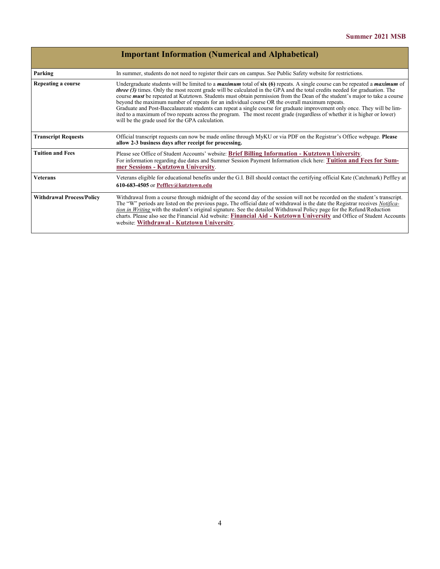|                                                                                                                                                                                                                                                                                                                                                                                                                                                                                                                                                                                                                                                                                                                                                                                                                                                         | <b>Important Information (Numerical and Alphabetical)</b>                                                                                                                                                                                                                                                                                                                                                                                                                                                                                                               |  |  |  |  |  |
|---------------------------------------------------------------------------------------------------------------------------------------------------------------------------------------------------------------------------------------------------------------------------------------------------------------------------------------------------------------------------------------------------------------------------------------------------------------------------------------------------------------------------------------------------------------------------------------------------------------------------------------------------------------------------------------------------------------------------------------------------------------------------------------------------------------------------------------------------------|-------------------------------------------------------------------------------------------------------------------------------------------------------------------------------------------------------------------------------------------------------------------------------------------------------------------------------------------------------------------------------------------------------------------------------------------------------------------------------------------------------------------------------------------------------------------------|--|--|--|--|--|
| Parking                                                                                                                                                                                                                                                                                                                                                                                                                                                                                                                                                                                                                                                                                                                                                                                                                                                 | In summer, students do not need to register their cars on campus. See Public Safety website for restrictions.                                                                                                                                                                                                                                                                                                                                                                                                                                                           |  |  |  |  |  |
| Undergraduate students will be limited to a <i>maximum</i> total of $\sin(6)$ repeats. A single course can be repeated a <i>maximum</i> of<br>Repeating a course<br><i>three (3)</i> times. Only the most recent grade will be calculated in the GPA and the total credits needed for graduation. The<br>course <i>must</i> be repeated at Kutztown. Students must obtain permission from the Dean of the student's major to take a course<br>beyond the maximum number of repeats for an individual course OR the overall maximum repeats.<br>Graduate and Post-Baccalaureate students can repeat a single course for graduate improvement only once. They will be lim-<br>ited to a maximum of two repeats across the program. The most recent grade (regardless of whether it is higher or lower)<br>will be the grade used for the GPA calculation. |                                                                                                                                                                                                                                                                                                                                                                                                                                                                                                                                                                         |  |  |  |  |  |
| <b>Transcript Requests</b>                                                                                                                                                                                                                                                                                                                                                                                                                                                                                                                                                                                                                                                                                                                                                                                                                              | Official transcript requests can now be made online through MyKU or via PDF on the Registrar's Office webpage. Please<br>allow 2-3 business days after receipt for processing.                                                                                                                                                                                                                                                                                                                                                                                          |  |  |  |  |  |
| <b>Tuition and Fees</b>                                                                                                                                                                                                                                                                                                                                                                                                                                                                                                                                                                                                                                                                                                                                                                                                                                 | Please see Office of Student Accounts' website: Brief Billing Information - Kutztown University.<br>For information regarding due dates and Summer Session Payment Information click here: Tuition and Fees for Sum-<br>mer Sessions - Kutztown University.                                                                                                                                                                                                                                                                                                             |  |  |  |  |  |
| <b>Veterans</b>                                                                                                                                                                                                                                                                                                                                                                                                                                                                                                                                                                                                                                                                                                                                                                                                                                         | Veterans eligible for educational benefits under the G.I. Bill should contact the certifying official Kate (Catchmark) Peffley at<br>610-683-4505 or Peffley@kutztown.edu                                                                                                                                                                                                                                                                                                                                                                                               |  |  |  |  |  |
| <b>Withdrawal Process/Policy</b>                                                                                                                                                                                                                                                                                                                                                                                                                                                                                                                                                                                                                                                                                                                                                                                                                        | Withdrawal from a course through midnight of the second day of the session will not be recorded on the student's transcript.<br>The "W" periods are listed on the previous page. The official date of withdrawal is the date the Registrar receives <i>Notifica</i> -<br>tion in Writing with the student's original signature. See the detailed Withdrawal Policy page for the Refund/Reduction<br>charts. Please also see the Financial Aid website: Financial Aid - Kutztown University and Office of Student Accounts<br>website: Withdrawal - Kutztown University. |  |  |  |  |  |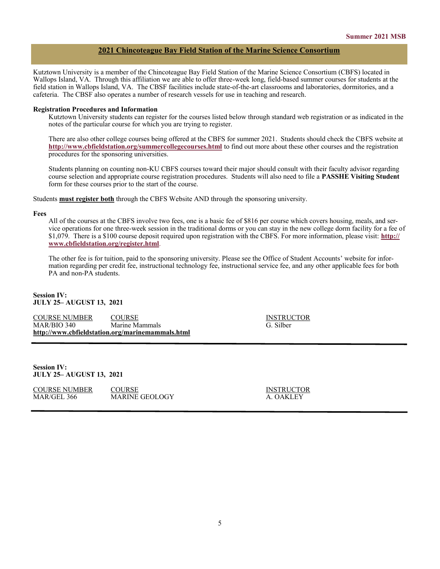## **2021 Chincoteague Bay Field Station of the Marine Science Consortium**

Kutztown University is a member of the Chincoteague Bay Field Station of the Marine Science Consortium (CBFS) located in Wallops Island, VA. Through this affiliation we are able to offer three-week long, field-based summer courses for students at the field station in Wallops Island, VA. The CBSF facilities include state-of-the-art classrooms and laboratories, dormitories, and a cafeteria. The CBSF also operates a number of research vessels for use in teaching and research.

#### **Registration Procedures and Information**

Kutztown University students can register for the courses listed below through standard web registration or as indicated in the notes of the particular course for which you are trying to register.

There are also other college courses being offered at the CBFS for summer 2021. Students should check the CBFS website at **<http://www.cbfieldstation.org/summercollegecourses.html>** to find out more about these other courses and the registration procedures for the sponsoring universities.

Students planning on counting non-KU CBFS courses toward their major should consult with their faculty advisor regarding course selection and appropriate course registration procedures. Students will also need to file a **PASSHE Visiting Student**  form for these courses prior to the start of the course.

Students **must register both** through the CBFS Website AND through the sponsoring university.

#### **Fees**

All of the courses at the CBFS involve two fees, one is a basic fee of \$816 per course which covers housing, meals, and service operations for one three-week session in the traditional dorms or you can stay in the new college dorm facility for a fee of \$1,079. There is a \$100 course deposit required upon registration with the CBFS. For more information, please visit: **[http://](http://www.cbfieldstation.org/register.html) [www.cbfieldstation.org/register.html](http://www.cbfieldstation.org/register.html)**.

The other fee is for tuition, paid to the sponsoring university. Please see the Office of Student Accounts' website for information regarding per credit fee, instructional technology fee, instructional service fee, and any other applicable fees for both PA and non-PA students.

### **Session IV: JULY 25– AUGUST 13, 2021**

| COURSE NUMBER | <b>COURSE</b>                                    | <b>INSTRU</b> |
|---------------|--------------------------------------------------|---------------|
| MAR/BIO 340   | Marine Mammals                                   | G. Silber     |
|               | http://www.cbfieldstation.org/marinemammals.html |               |

**INSTRUCTOR** 

**Session IV: JULY 25– AUGUST 13, 2021**

COURSE NUMBER COURSE COURSE INSTRUCTOR MAR/GEL 366 MARINE GEOLOGY A. OAKLEY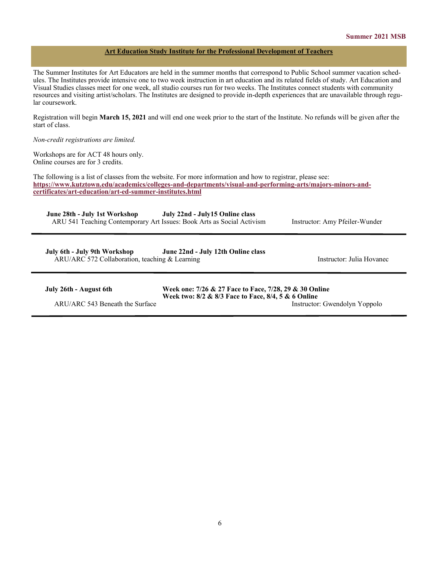## **Art Education Study Institute for the Professional Development of Teachers**

The Summer Institutes for Art Educators are held in the summer months that correspond to Public School summer vacation schedules. The Institutes provide intensive one to two week instruction in art education and its related fields of study. Art Education and Visual Studies classes meet for one week, all studio courses run for two weeks. The Institutes connect students with community resources and visiting artist/scholars. The Institutes are designed to provide in-depth experiences that are unavailable through regular coursework.

Registration will begin **March 15, 2021** and will end one week prior to the start of the Institute. No refunds will be given after the start of class.

## *Non-credit registrations are limited.*

Workshops are for ACT 48 hours only. Online courses are for 3 credits.

The following is a list of classes from the website. For more information and how to registrar, please see: **[https://www.kutztown.edu/academics/colleges](https://www.kutztown.edu/academics/colleges-and-departments/visual-and-performing-arts/majors-minors-and-certificates/art-education/art-ed-summer-institutes.html)-and-departments/visual-and-performing-arts/majors-minors-and[certificates/art](https://www.kutztown.edu/academics/colleges-and-departments/visual-and-performing-arts/majors-minors-and-certificates/art-education/art-ed-summer-institutes.html)-education/art-ed-summer-institutes.html**

**June 28th - July 1st Workshop July 22nd - July15 Online class** ARU 541 Teaching Contemporary Art Issues: Book Arts as Social Activism Instructor: Amy Pfeiler-Wunder

 **July 6th - July 9th Workshop June 22nd - July 12th Online class** ARU/ARC 572 Collaboration, teaching & Learning Instructor: Julia Hovanec

|  |  | July 26th - August 6th |  |
|--|--|------------------------|--|
|  |  |                        |  |

**Week one: 7/26 & 27 Face to Face, 7/28, 29 & 30 Online Week two: 8/2 & 8/3 Face to Face, 8/4, 5 & 6 Online** ARU/ARC 543 Beneath the Surface Instructor: Gwendolyn Yoppolo